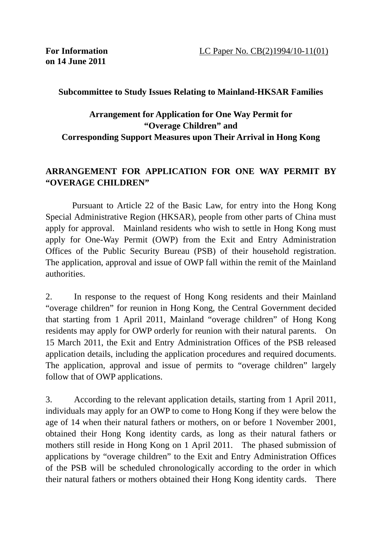**on 14 June 2011** 

## **Subcommittee to Study Issues Relating to Mainland-HKSAR Families**

## **Arrangement for Application for One Way Permit for "Overage Children" and Corresponding Support Measures upon Their Arrival in Hong Kong**

## **ARRANGEMENT FOR APPLICATION FOR ONE WAY PERMIT BY "OVERAGE CHILDREN"**

Pursuant to Article 22 of the Basic Law, for entry into the Hong Kong Special Administrative Region (HKSAR), people from other parts of China must apply for approval. Mainland residents who wish to settle in Hong Kong must apply for One-Way Permit (OWP) from the Exit and Entry Administration Offices of the Public Security Bureau (PSB) of their household registration. The application, approval and issue of OWP fall within the remit of the Mainland authorities.

2. In response to the request of Hong Kong residents and their Mainland "overage children" for reunion in Hong Kong, the Central Government decided that starting from 1 April 2011, Mainland "overage children" of Hong Kong residents may apply for OWP orderly for reunion with their natural parents. On 15 March 2011, the Exit and Entry Administration Offices of the PSB released application details, including the application procedures and required documents. The application, approval and issue of permits to "overage children" largely follow that of OWP applications.

3. According to the relevant application details, starting from 1 April 2011, individuals may apply for an OWP to come to Hong Kong if they were below the age of 14 when their natural fathers or mothers, on or before 1 November 2001, obtained their Hong Kong identity cards, as long as their natural fathers or mothers still reside in Hong Kong on 1 April 2011. The phased submission of applications by "overage children" to the Exit and Entry Administration Offices of the PSB will be scheduled chronologically according to the order in which their natural fathers or mothers obtained their Hong Kong identity cards. There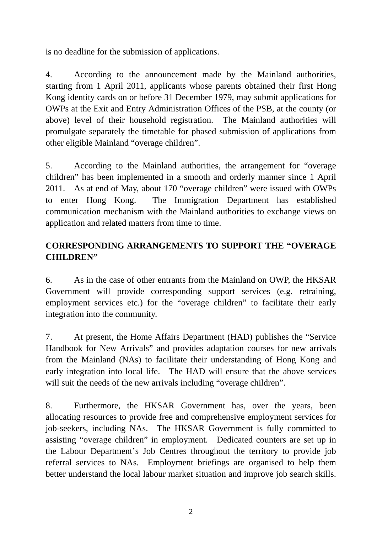is no deadline for the submission of applications.

4. According to the announcement made by the Mainland authorities, starting from 1 April 2011, applicants whose parents obtained their first Hong Kong identity cards on or before 31 December 1979, may submit applications for OWPs at the Exit and Entry Administration Offices of the PSB, at the county (or above) level of their household registration. The Mainland authorities will promulgate separately the timetable for phased submission of applications from other eligible Mainland "overage children".

5. According to the Mainland authorities, the arrangement for "overage children" has been implemented in a smooth and orderly manner since 1 April 2011. As at end of May, about 170 "overage children" were issued with OWPs to enter Hong Kong. The Immigration Department has established communication mechanism with the Mainland authorities to exchange views on application and related matters from time to time.

## **CORRESPONDING ARRANGEMENTS TO SUPPORT THE "OVERAGE CHILDREN"**

6. As in the case of other entrants from the Mainland on OWP, the HKSAR Government will provide corresponding support services (e.g. retraining, employment services etc.) for the "overage children" to facilitate their early integration into the community.

7. At present, the Home Affairs Department (HAD) publishes the "Service Handbook for New Arrivals" and provides adaptation courses for new arrivals from the Mainland (NAs) to facilitate their understanding of Hong Kong and early integration into local life. The HAD will ensure that the above services will suit the needs of the new arrivals including "overage children".

8. Furthermore, the HKSAR Government has, over the years, been allocating resources to provide free and comprehensive employment services for job-seekers, including NAs. The HKSAR Government is fully committed to assisting "overage children" in employment. Dedicated counters are set up in the Labour Department's Job Centres throughout the territory to provide job referral services to NAs. Employment briefings are organised to help them better understand the local labour market situation and improve job search skills.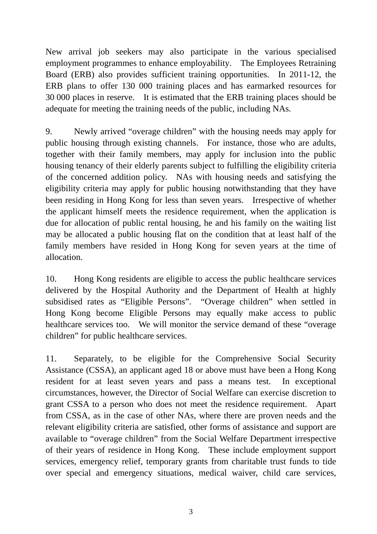New arrival job seekers may also participate in the various specialised employment programmes to enhance employability. The Employees Retraining Board (ERB) also provides sufficient training opportunities. In 2011-12, the ERB plans to offer 130 000 training places and has earmarked resources for 30 000 places in reserve. It is estimated that the ERB training places should be adequate for meeting the training needs of the public, including NAs.

9. Newly arrived "overage children" with the housing needs may apply for public housing through existing channels. For instance, those who are adults, together with their family members, may apply for inclusion into the public housing tenancy of their elderly parents subject to fulfilling the eligibility criteria of the concerned addition policy. NAs with housing needs and satisfying the eligibility criteria may apply for public housing notwithstanding that they have been residing in Hong Kong for less than seven years. Irrespective of whether the applicant himself meets the residence requirement, when the application is due for allocation of public rental housing, he and his family on the waiting list may be allocated a public housing flat on the condition that at least half of the family members have resided in Hong Kong for seven years at the time of allocation.

10. Hong Kong residents are eligible to access the public healthcare services delivered by the Hospital Authority and the Department of Health at highly subsidised rates as "Eligible Persons". "Overage children" when settled in Hong Kong become Eligible Persons may equally make access to public healthcare services too. We will monitor the service demand of these "overage children" for public healthcare services.

11. Separately, to be eligible for the Comprehensive Social Security Assistance (CSSA), an applicant aged 18 or above must have been a Hong Kong resident for at least seven years and pass a means test. In exceptional circumstances, however, the Director of Social Welfare can exercise discretion to grant CSSA to a person who does not meet the residence requirement. Apart from CSSA, as in the case of other NAs, where there are proven needs and the relevant eligibility criteria are satisfied, other forms of assistance and support are available to "overage children" from the Social Welfare Department irrespective of their years of residence in Hong Kong. These include employment support services, emergency relief, temporary grants from charitable trust funds to tide over special and emergency situations, medical waiver, child care services,